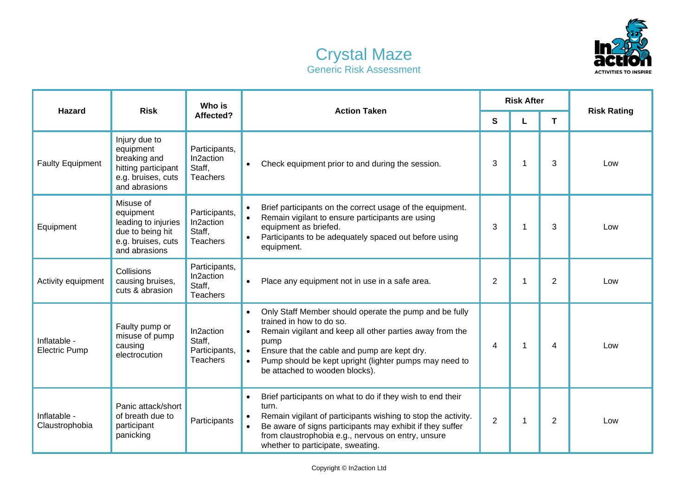



| <b>Hazard</b>                        | <b>Risk</b>                                                                                              | Who is<br>Affected?                                     | <b>Action Taken</b>                                                                                                                                                                                                                                                                                             | <b>Risk After</b> |   |                |                    |
|--------------------------------------|----------------------------------------------------------------------------------------------------------|---------------------------------------------------------|-----------------------------------------------------------------------------------------------------------------------------------------------------------------------------------------------------------------------------------------------------------------------------------------------------------------|-------------------|---|----------------|--------------------|
|                                      |                                                                                                          |                                                         |                                                                                                                                                                                                                                                                                                                 | S                 |   | T.             | <b>Risk Rating</b> |
| <b>Faulty Equipment</b>              | Injury due to<br>equipment<br>breaking and<br>hitting participant<br>e.g. bruises, cuts<br>and abrasions | Participants,<br>In2action<br>Staff,<br><b>Teachers</b> | Check equipment prior to and during the session.                                                                                                                                                                                                                                                                | 3                 | 1 | 3              | Low                |
| Equipment                            | Misuse of<br>equipment<br>leading to injuries<br>due to being hit<br>e.g. bruises, cuts<br>and abrasions | Participants,<br>In2action<br>Staff,<br><b>Teachers</b> | Brief participants on the correct usage of the equipment.<br>Remain vigilant to ensure participants are using<br>$\bullet$<br>equipment as briefed.<br>Participants to be adequately spaced out before using<br>equipment.                                                                                      | 3                 |   | 3              | Low                |
| Activity equipment                   | Collisions<br>causing bruises,<br>cuts & abrasion                                                        | Participants,<br>In2action<br>Staff,<br><b>Teachers</b> | Place any equipment not in use in a safe area.<br>$\bullet$                                                                                                                                                                                                                                                     | 2                 | 1 | 2              | Low                |
| Inflatable -<br><b>Electric Pump</b> | Faulty pump or<br>misuse of pump<br>causing<br>electrocution                                             | In2action<br>Staff,<br>Participants,<br><b>Teachers</b> | Only Staff Member should operate the pump and be fully<br>trained in how to do so.<br>Remain vigilant and keep all other parties away from the<br>pump<br>Ensure that the cable and pump are kept dry.<br>Pump should be kept upright (lighter pumps may need to<br>$\bullet$<br>be attached to wooden blocks). | 4                 | 1 | 4              | Low                |
| Inflatable -<br>Claustrophobia       | Panic attack/short<br>of breath due to<br>participant<br>panicking                                       | Participants                                            | Brief participants on what to do if they wish to end their<br>turn.<br>Remain vigilant of participants wishing to stop the activity.<br>Be aware of signs participants may exhibit if they suffer<br>$\bullet$<br>from claustrophobia e.g., nervous on entry, unsure<br>whether to participate, sweating.       | $\overline{2}$    | 1 | $\overline{2}$ | Low                |